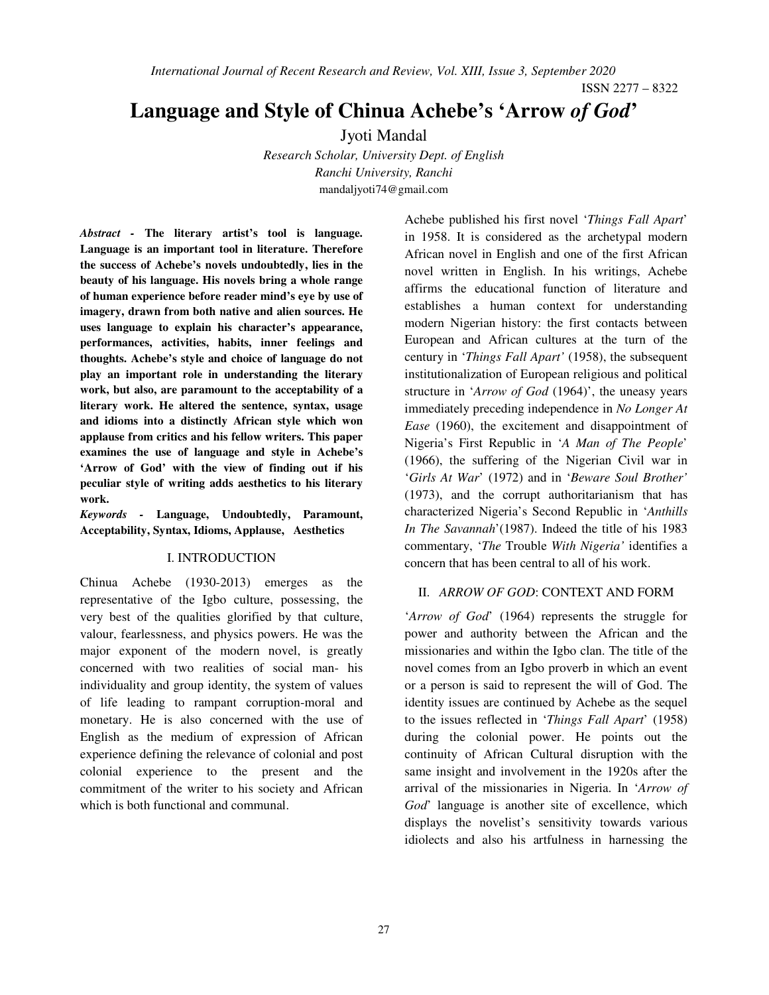ISSN 2277 – 8322

# **Language and Style of Chinua Achebe's 'Arrow** *of God***'**

Jyoti Mandal

*Research Scholar, University Dept. of English Ranchi University, Ranchi*  mandaljyoti74@gmail.com

*Abstract -* **The literary artist's tool is language. Language is an important tool in literature. Therefore the success of Achebe's novels undoubtedly, lies in the beauty of his language. His novels bring a whole range of human experience before reader mind's eye by use of imagery, drawn from both native and alien sources. He uses language to explain his character's appearance, performances, activities, habits, inner feelings and thoughts. Achebe's style and choice of language do not play an important role in understanding the literary work, but also, are paramount to the acceptability of a literary work. He altered the sentence, syntax, usage and idioms into a distinctly African style which won applause from critics and his fellow writers. This paper examines the use of language and style in Achebe's 'Arrow of God' with the view of finding out if his peculiar style of writing adds aesthetics to his literary work.** 

*Keywords -* **Language, Undoubtedly, Paramount, Acceptability, Syntax, Idioms, Applause, Aesthetics**

#### I. INTRODUCTION

Chinua Achebe (1930-2013) emerges as the representative of the Igbo culture, possessing, the very best of the qualities glorified by that culture, valour, fearlessness, and physics powers. He was the major exponent of the modern novel, is greatly concerned with two realities of social man- his individuality and group identity, the system of values of life leading to rampant corruption-moral and monetary. He is also concerned with the use of English as the medium of expression of African experience defining the relevance of colonial and post colonial experience to the present and the commitment of the writer to his society and African which is both functional and communal.

Achebe published his first novel '*Things Fall Apart*' in 1958. It is considered as the archetypal modern African novel in English and one of the first African novel written in English. In his writings, Achebe affirms the educational function of literature and establishes a human context for understanding modern Nigerian history: the first contacts between European and African cultures at the turn of the century in '*Things Fall Apart'* (1958), the subsequent institutionalization of European religious and political structure in '*Arrow of God* (1964)', the uneasy years immediately preceding independence in *No Longer At Ease* (1960), the excitement and disappointment of Nigeria's First Republic in '*A Man of The People*' (1966), the suffering of the Nigerian Civil war in '*Girls At War*' (1972) and in '*Beware Soul Brother'* (1973), and the corrupt authoritarianism that has characterized Nigeria's Second Republic in '*Anthills In The Savannah*'(1987). Indeed the title of his 1983 commentary, '*The* Trouble *With Nigeria'* identifies a concern that has been central to all of his work.

## II. *ARROW OF GOD*: CONTEXT AND FORM

'*Arrow of God*' (1964) represents the struggle for power and authority between the African and the missionaries and within the Igbo clan. The title of the novel comes from an Igbo proverb in which an event or a person is said to represent the will of God. The identity issues are continued by Achebe as the sequel to the issues reflected in '*Things Fall Apart*' (1958) during the colonial power. He points out the continuity of African Cultural disruption with the same insight and involvement in the 1920s after the arrival of the missionaries in Nigeria. In '*Arrow of God*' language is another site of excellence, which displays the novelist's sensitivity towards various idiolects and also his artfulness in harnessing the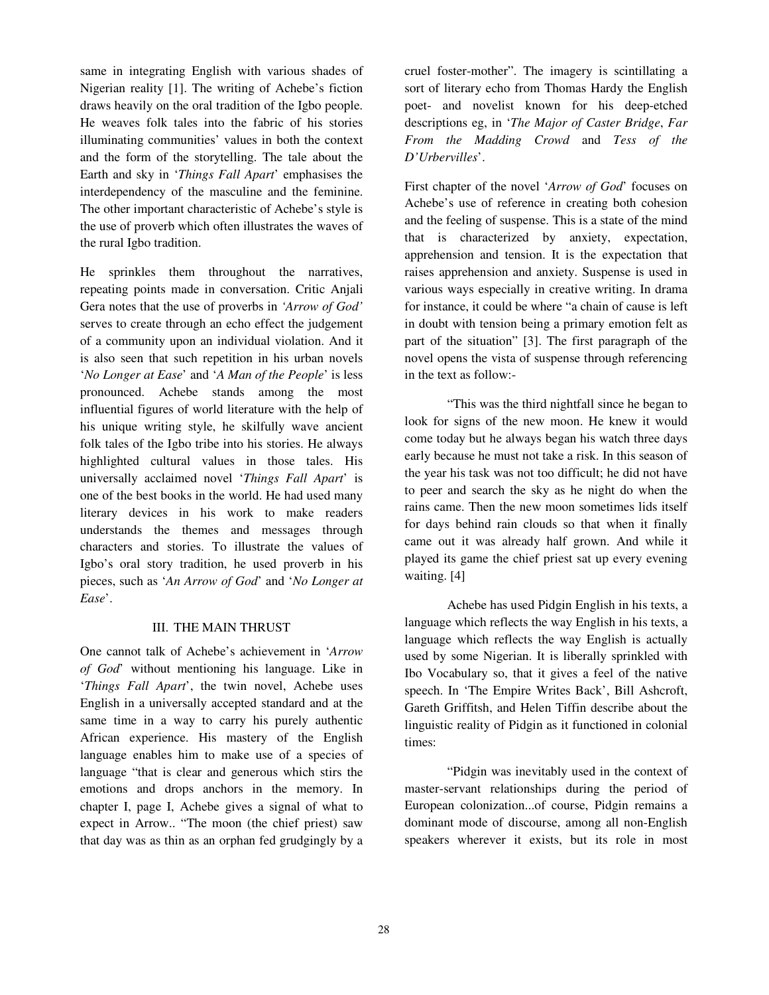same in integrating English with various shades of Nigerian reality [1]. The writing of Achebe's fiction draws heavily on the oral tradition of the Igbo people. He weaves folk tales into the fabric of his stories illuminating communities' values in both the context and the form of the storytelling. The tale about the Earth and sky in '*Things Fall Apart*' emphasises the interdependency of the masculine and the feminine. The other important characteristic of Achebe's style is the use of proverb which often illustrates the waves of the rural Igbo tradition.

He sprinkles them throughout the narratives, repeating points made in conversation. Critic Anjali Gera notes that the use of proverbs in *'Arrow of God'* serves to create through an echo effect the judgement of a community upon an individual violation. And it is also seen that such repetition in his urban novels '*No Longer at Ease*' and '*A Man of the People*' is less pronounced. Achebe stands among the most influential figures of world literature with the help of his unique writing style, he skilfully wave ancient folk tales of the Igbo tribe into his stories. He always highlighted cultural values in those tales. His universally acclaimed novel '*Things Fall Apart*' is one of the best books in the world. He had used many literary devices in his work to make readers understands the themes and messages through characters and stories. To illustrate the values of Igbo's oral story tradition, he used proverb in his pieces, such as '*An Arrow of God*' and '*No Longer at Ease*'.

#### III. THE MAIN THRUST

One cannot talk of Achebe's achievement in '*Arrow of God*' without mentioning his language. Like in '*Things Fall Apart*', the twin novel, Achebe uses English in a universally accepted standard and at the same time in a way to carry his purely authentic African experience. His mastery of the English language enables him to make use of a species of language "that is clear and generous which stirs the emotions and drops anchors in the memory. In chapter I, page I, Achebe gives a signal of what to expect in Arrow.. "The moon (the chief priest) saw that day was as thin as an orphan fed grudgingly by a

cruel foster-mother". The imagery is scintillating a sort of literary echo from Thomas Hardy the English poet- and novelist known for his deep-etched descriptions eg, in '*The Major of Caster Bridge*, *Far From the Madding Crowd* and *Tess of the D'Urbervilles*'.

First chapter of the novel '*Arrow of God*' focuses on Achebe's use of reference in creating both cohesion and the feeling of suspense. This is a state of the mind that is characterized by anxiety, expectation, apprehension and tension. It is the expectation that raises apprehension and anxiety. Suspense is used in various ways especially in creative writing. In drama for instance, it could be where "a chain of cause is left in doubt with tension being a primary emotion felt as part of the situation" [3]. The first paragraph of the novel opens the vista of suspense through referencing in the text as follow:-

 "This was the third nightfall since he began to look for signs of the new moon. He knew it would come today but he always began his watch three days early because he must not take a risk. In this season of the year his task was not too difficult; he did not have to peer and search the sky as he night do when the rains came. Then the new moon sometimes lids itself for days behind rain clouds so that when it finally came out it was already half grown. And while it played its game the chief priest sat up every evening waiting. [4]

 Achebe has used Pidgin English in his texts, a language which reflects the way English in his texts, a language which reflects the way English is actually used by some Nigerian. It is liberally sprinkled with Ibo Vocabulary so, that it gives a feel of the native speech. In 'The Empire Writes Back', Bill Ashcroft, Gareth Griffitsh, and Helen Tiffin describe about the linguistic reality of Pidgin as it functioned in colonial times:

 "Pidgin was inevitably used in the context of master-servant relationships during the period of European colonization...of course, Pidgin remains a dominant mode of discourse, among all non-English speakers wherever it exists, but its role in most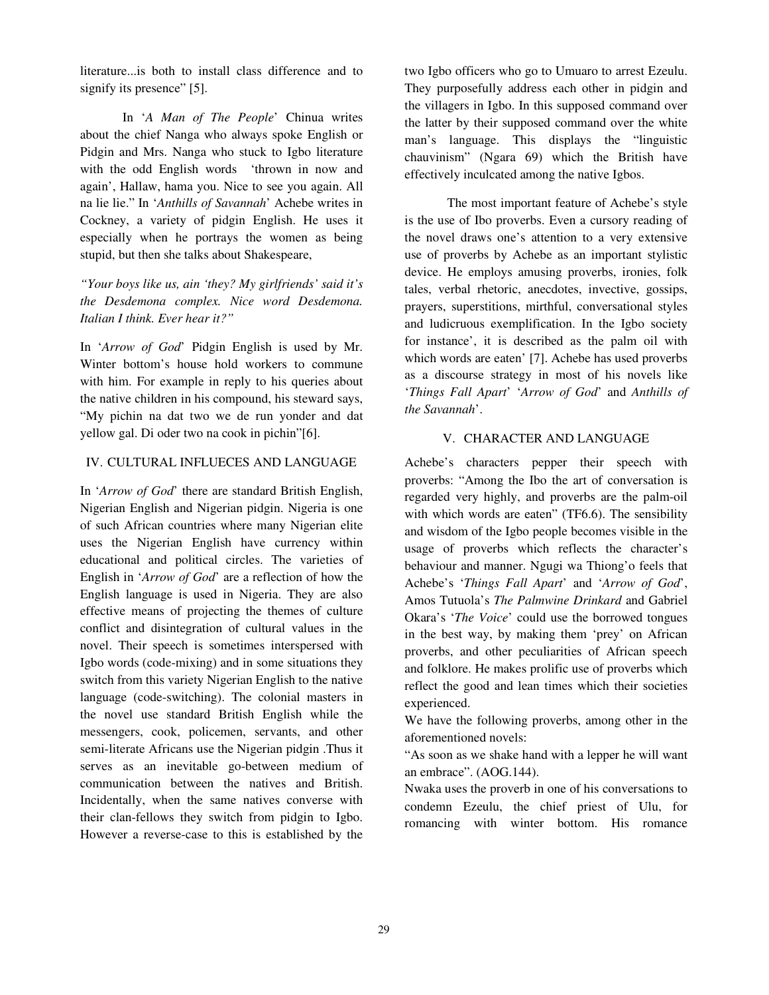literature...is both to install class difference and to signify its presence" [5].

 In '*A Man of The People*' Chinua writes about the chief Nanga who always spoke English or Pidgin and Mrs. Nanga who stuck to Igbo literature with the odd English words 'thrown in now and again', Hallaw, hama you. Nice to see you again. All na lie lie." In '*Anthills of Savannah*' Achebe writes in Cockney, a variety of pidgin English. He uses it especially when he portrays the women as being stupid, but then she talks about Shakespeare,

*"Your boys like us, ain 'they? My girlfriends' said it's the Desdemona complex. Nice word Desdemona. Italian I think. Ever hear it?"* 

In '*Arrow of God*' Pidgin English is used by Mr. Winter bottom's house hold workers to commune with him. For example in reply to his queries about the native children in his compound, his steward says, "My pichin na dat two we de run yonder and dat yellow gal. Di oder two na cook in pichin"[6].

### IV. CULTURAL INFLUECES AND LANGUAGE

In '*Arrow of God*' there are standard British English, Nigerian English and Nigerian pidgin. Nigeria is one of such African countries where many Nigerian elite uses the Nigerian English have currency within educational and political circles. The varieties of English in '*Arrow of God*' are a reflection of how the English language is used in Nigeria. They are also effective means of projecting the themes of culture conflict and disintegration of cultural values in the novel. Their speech is sometimes interspersed with Igbo words (code-mixing) and in some situations they switch from this variety Nigerian English to the native language (code-switching). The colonial masters in the novel use standard British English while the messengers, cook, policemen, servants, and other semi-literate Africans use the Nigerian pidgin .Thus it serves as an inevitable go-between medium of communication between the natives and British. Incidentally, when the same natives converse with their clan-fellows they switch from pidgin to Igbo. However a reverse-case to this is established by the

two Igbo officers who go to Umuaro to arrest Ezeulu. They purposefully address each other in pidgin and the villagers in Igbo. In this supposed command over the latter by their supposed command over the white man's language. This displays the "linguistic chauvinism" (Ngara 69) which the British have effectively inculcated among the native Igbos.

 The most important feature of Achebe's style is the use of Ibo proverbs. Even a cursory reading of the novel draws one's attention to a very extensive use of proverbs by Achebe as an important stylistic device. He employs amusing proverbs, ironies, folk tales, verbal rhetoric, anecdotes, invective, gossips, prayers, superstitions, mirthful, conversational styles and ludicruous exemplification. In the Igbo society for instance', it is described as the palm oil with which words are eaten' [7]. Achebe has used proverbs as a discourse strategy in most of his novels like '*Things Fall Apart*' '*Arrow of God*' and *Anthills of the Savannah*'.

### V. CHARACTER AND LANGUAGE

Achebe's characters pepper their speech with proverbs: "Among the Ibo the art of conversation is regarded very highly, and proverbs are the palm-oil with which words are eaten" (TF6.6). The sensibility and wisdom of the Igbo people becomes visible in the usage of proverbs which reflects the character's behaviour and manner. Ngugi wa Thiong'o feels that Achebe's '*Things Fall Apart*' and '*Arrow of God*', Amos Tutuola's *The Palmwine Drinkard* and Gabriel Okara's '*The Voice*' could use the borrowed tongues in the best way, by making them 'prey' on African proverbs, and other peculiarities of African speech and folklore. He makes prolific use of proverbs which reflect the good and lean times which their societies experienced.

We have the following proverbs, among other in the aforementioned novels:

"As soon as we shake hand with a lepper he will want an embrace". (AOG.144).

Nwaka uses the proverb in one of his conversations to condemn Ezeulu, the chief priest of Ulu, for romancing with winter bottom. His romance